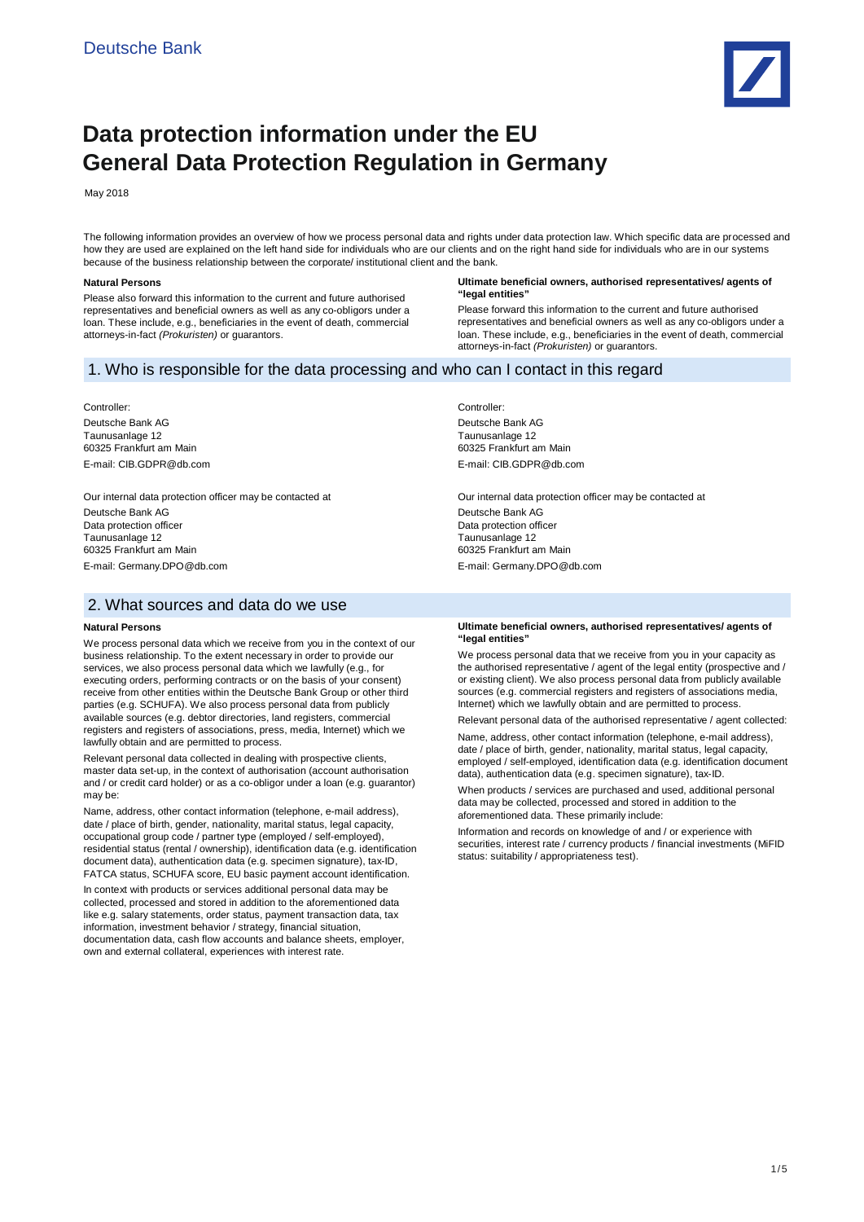

# **Data protection information under the EU General Data Protection Regulation in Germany**

May 2018

The following information provides an overview of how we process personal data and rights under data protection law. Which specific data are processed and how they are used are explained on the left hand side for individuals who are our clients and on the right hand side for individuals who are in our systems because of the business relationship between the corporate/ institutional client and the bank.

#### **Natural Persons**

Please also forward this information to the current and future authorised representatives and beneficial owners as well as any co-obligors under a loan. These include, e.g., beneficiaries in the event of death, commercial attorneys-in-fact *(Prokuristen)* or guarantors.

#### **Ultimate beneficial owners, authorised representatives/ agents of "legal entities"**

Please forward this information to the current and future authorised representatives and beneficial owners as well as any co-obligors under a loan. These include, e.g., beneficiaries in the event of death, commercial attorneys-in-fact *(Prokuristen)* or guarantors.

# 1. Who is responsible for the data processing and who can I contact in this regard

Controller: Deutsche Bank AG Taunusanlage 12 60325 Frankfurt am Main E-mail: CIB.GDPR@db.com

Our internal data protection officer may be contacted at Deutsche Bank AG Data protection officer Taunusanlage 12 60325 Frankfurt am Main E-mail: Germany.DPO@db.com

# 2. What sources and data do we use

#### **Natural Persons**

We process personal data which we receive from you in the context of our business relationship. To the extent necessary in order to provide our services, we also process personal data which we lawfully (e.g., for executing orders, performing contracts or on the basis of your consent) receive from other entities within the Deutsche Bank Group or other third parties (e.g. SCHUFA). We also process personal data from publicly available sources (e.g. debtor directories, land registers, commercial registers and registers of associations, press, media, Internet) which we lawfully obtain and are permitted to process.

Relevant personal data collected in dealing with prospective clients, master data set-up, in the context of authorisation (account authorisation and / or credit card holder) or as a co-obligor under a loan (e.g. guarantor) may be:

Name, address, other contact information (telephone, e-mail address), date / place of birth, gender, nationality, marital status, legal capacity, occupational group code / partner type (employed / self-employed), residential status (rental / ownership), identification data (e.g. identification document data), authentication data (e.g. specimen signature), tax-ID, FATCA status, SCHUFA score, EU basic payment account identification.

In context with products or services additional personal data may be collected, processed and stored in addition to the aforementioned data like e.g. salary statements, order status, payment transaction data, tax information, investment behavior / strategy, financial situation, documentation data, cash flow accounts and balance sheets, employer, own and external collateral, experiences with interest rate

Controller: Deutsche Bank AG Taunusanlage 12 60325 Frankfurt am Main E-mail: CIB.GDPR@db.com

Our internal data protection officer may be contacted at Deutsche Bank AG Data protection officer Taunusanlage 12 60325 Frankfurt am Main E-mail: Germany.DPO@db.com

#### **Ultimate beneficial owners, authorised representatives/ agents of "legal entities"**

We process personal data that we receive from you in your capacity as the authorised representative / agent of the legal entity (prospective and / or existing client). We also process personal data from publicly available sources (e.g. commercial registers and registers of associations media, Internet) which we lawfully obtain and are permitted to process.

Relevant personal data of the authorised representative / agent collected:

Name, address, other contact information (telephone, e-mail address), date / place of birth, gender, nationality, marital status, legal capacity, employed / self-employed, identification data (e.g. identification document data), authentication data (e.g. specimen signature), tax-ID.

When products / services are purchased and used, additional personal data may be collected, processed and stored in addition to the aforementioned data. These primarily include:

Information and records on knowledge of and / or experience with securities, interest rate / currency products / financial investments (MiFID status: suitability / appropriateness test).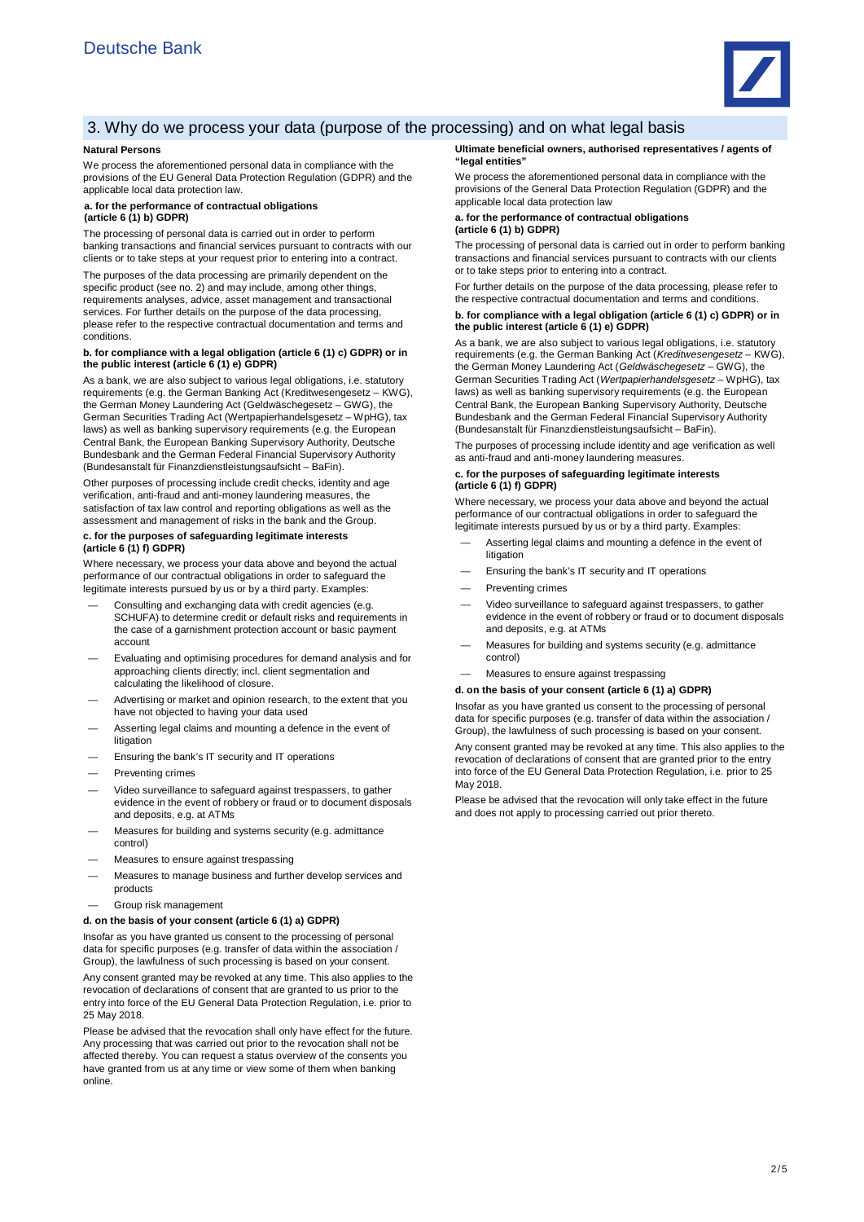

# 3. Why do we process your data (purpose of the processing) and on what legal basis

#### **Natural Persons**

We process the aforementioned personal data in compliance with the provisions of the EU General Data Protection Regulation (GDPR) and the applicable local data protection law.

#### **a. for the performance of contractual obligations (article 6 (1) b) GDPR)**

The processing of personal data is carried out in order to perform banking transactions and financial services pursuant to contracts with our clients or to take steps at your request prior to entering into a contract.

The purposes of the data processing are primarily dependent on the specific product (see no. 2) and may include, among other things, requirements analyses, advice, asset management and transactional services. For further details on the purpose of the data processing, please refer to the respective contractual documentation and terms and conditions.

#### **b. for compliance with a legal obligation (article 6 (1) c) GDPR) or in the public interest (article 6 (1) e) GDPR)**

As a bank, we are also subject to various legal obligations, i.e. statutory requirements (e.g. the German Banking Act (Kreditwesengesetz – KWG), the German Money Laundering Act (Geldwäschegesetz – GWG), the German Securities Trading Act (Wertpapierhandelsgesetz – WpHG), tax laws) as well as banking supervisory requirements (e.g. the European Central Bank, the European Banking Supervisory Authority, Deutsche Bundesbank and the German Federal Financial Supervisory Authority (Bundesanstalt für Finanzdienstleistungsaufsicht – BaFin).

Other purposes of processing include credit checks, identity and age verification, anti-fraud and anti-money laundering measures, the satisfaction of tax law control and reporting obligations as well as the assessment and management of risks in the bank and the Group.

#### **c. for the purposes of safeguarding legitimate interests (article 6 (1) f) GDPR)**

Where necessary, we process your data above and beyond the actual performance of our contractual obligations in order to safeguard the legitimate interests pursued by us or by a third party. Examples:

- Consulting and exchanging data with credit agencies (e.g. SCHUFA) to determine credit or default risks and requirements in the case of a garnishment protection account or basic payment account
- Evaluating and optimising procedures for demand analysis and for approaching clients directly; incl. client segmentation and calculating the likelihood of closure.
- Advertising or market and opinion research, to the extent that you have not objected to having your data used
- Asserting legal claims and mounting a defence in the event of litigation
- Ensuring the bank's IT security and IT operations
- Preventing crime
- Video surveillance to safeguard against trespassers, to gather evidence in the event of robbery or fraud or to document disposals and deposits, e.g. at ATMs
- Measures for building and systems security (e.g. admittance control)
- Measures to ensure against trespassing
- Measures to manage business and further develop services and products
- Group risk management

#### **d. on the basis of your consent (article 6 (1) a) GDPR)**

Insofar as you have granted us consent to the processing of personal data for specific purposes (e.g. transfer of data within the association / Group), the lawfulness of such processing is based on your consent.

Any consent granted may be revoked at any time. This also applies to the revocation of declarations of consent that are granted to us prior to the entry into force of the EU General Data Protection Regulation, i.e. prior to 25 May 2018.

Please be advised that the revocation shall only have effect for the future. Any processing that was carried out prior to the revocation shall not be affected thereby. You can request a status overview of the consents you have granted from us at any time or view some of them when banking online.

#### **Ultimate beneficial owners, authorised representatives / agents of "legal entities"**

We process the aforementioned personal data in compliance with the provisions of the General Data Protection Regulation (GDPR) and the applicable local data protection law

#### **a. for the performance of contractual obligations (article 6 (1) b) GDPR)**

The processing of personal data is carried out in order to perform banking transactions and financial services pursuant to contracts with our clients or to take steps prior to entering into a contract.

For further details on the purpose of the data processing, please refer to the respective contractual documentation and terms and conditions.

#### **b. for compliance with a legal obligation (article 6 (1) c) GDPR) or in the public interest (article 6 (1) e) GDPR)**

As a bank, we are also subject to various legal obligations, i.e. statutory requirements (e.g. the German Banking Act (*Kreditwesengesetz* – KWG), the German Money Laundering Act (*Geldwäschegesetz* – GWG), the German Securities Trading Act (*Wertpapierhandelsgesetz* – WpHG), tax laws) as well as banking supervisory requirements (e.g. the European Central Bank, the European Banking Supervisory Authority, Deutsche Bundesbank and the German Federal Financial Supervisory Authority (Bundesanstalt für Finanzdienstleistungsaufsicht – BaFin).

The purposes of processing include identity and age verification as well as anti-fraud and anti-money laundering measures.

#### **c. for the purposes of safeguarding legitimate interests (article 6 (1) f) GDPR)**

Where necessary, we process your data above and beyond the actual performance of our contractual obligations in order to safeguard the legitimate interests pursued by us or by a third party. Examples:

- Asserting legal claims and mounting a defence in the event of litigation
- Ensuring the bank's IT security and IT operations
- Preventing crimes
- Video surveillance to safeguard against trespassers, to gather evidence in the event of robbery or fraud or to document disposals and deposits, e.g. at ATMs
- Measures for building and systems security (e.g. admittance control)
- Measures to ensure against trespassing

#### **d. on the basis of your consent (article 6 (1) a) GDPR)**

Insofar as you have granted us consent to the processing of personal data for specific purposes (e.g. transfer of data within the association / Group), the lawfulness of such processing is based on your consent.

Any consent granted may be revoked at any time. This also applies to the revocation of declarations of consent that are granted prior to the entry into force of the EU General Data Protection Regulation, i.e. prior to 25 May 2018.

Please be advised that the revocation will only take effect in the future and does not apply to processing carried out prior thereto.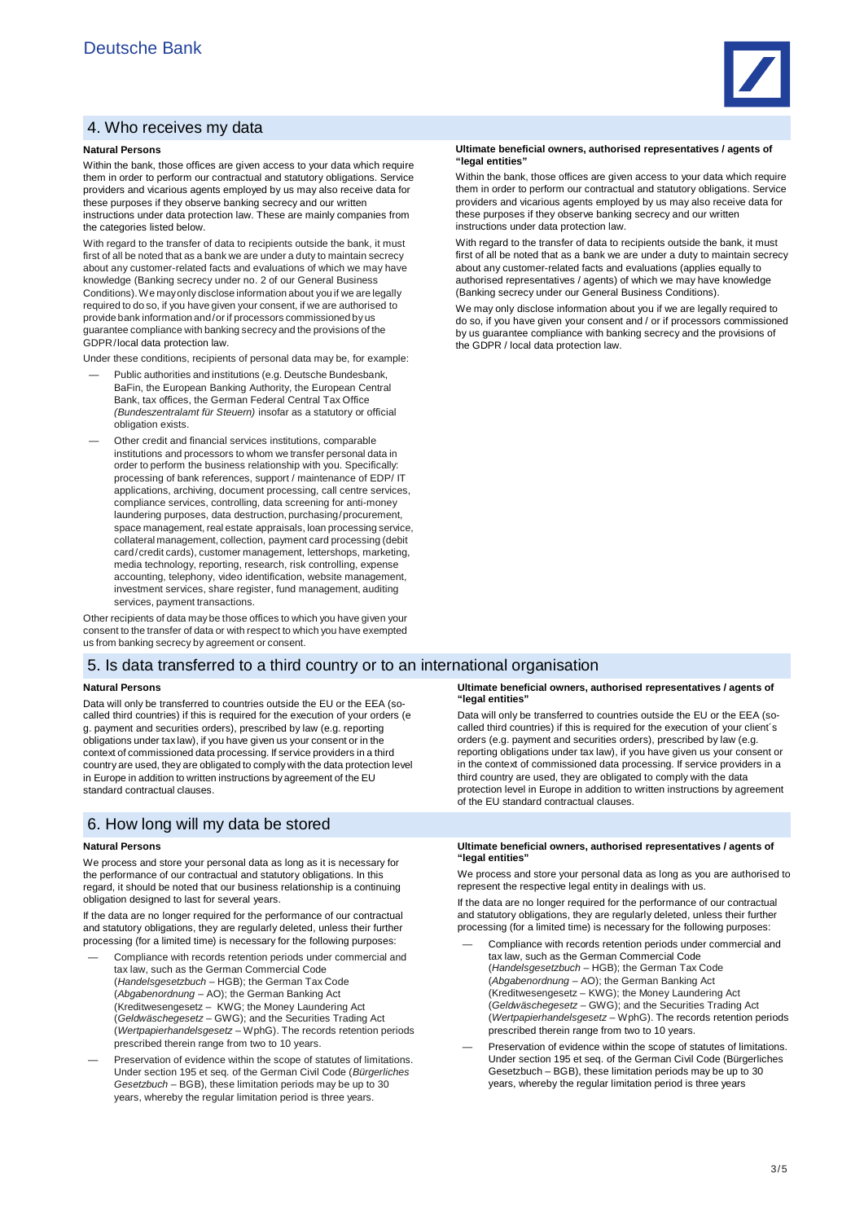## 4. Who receives my data

#### **Natural Persons**

Within the bank, those offices are given access to your data which require them in order to perform our contractual and statutory obligations. Service providers and vicarious agents employed by us may also receive data for these purposes if they observe banking secrecy and our written instructions under data protection law. These are mainly companies from the categories listed below.

With regard to the transfer of data to recipients outside the bank, it must first of all be noted that as a bank we are under a duty to maintain secrecy about any customer-related facts and evaluations of which we may have knowledge (Banking secrecy under no. 2 of our General Business Conditions). We may only disclose information about you if we are legally required to do so, if you have given your consent, if we are authorised to provide bank information and / or if processors commissioned by us guarantee compliance with banking secrecy and the provisions of the GDPR /local data protection law.

Under these conditions, recipients of personal data may be, for example:

- Public authorities and institutions (e.g. Deutsche Bundesbank, BaFin, the European Banking Authority, the European Central Bank, tax offices, the German Federal Central Tax Office *(Bundeszentralamt für Steuern)* insofar as a statutory or official obligation exists.
- Other credit and financial services institutions, comparable institutions and processors to whom we transfer personal data in order to perform the business relationship with you. Specifically: processing of bank references, support / maintenance of EDP/ IT applications, archiving, document processing, call centre services, compliance services, controlling, data screening for anti-money laundering purposes, data destruction, purchasing / procurement, space management, real estate appraisals, loan processing service, collateral management, collection, payment card processing (debit card/credit cards), customer management, lettershops, marketing, media technology, reporting, research, risk controlling, expense accounting, telephony, video identification, website management, investment services, share register, fund management, auditing services, payment transactions.

Other recipients of data may be those offices to which you have given your consent to the transfer of data or with respect to which you have exempted us from banking secrecy by agreement or consent.

### 5. Is data transferred to a third country or to an international organisation

#### **Natural Persons**

Data will only be transferred to countries outside the EU or the EEA (socalled third countries) if this is required for the execution of your orders (e g. payment and securities orders), prescribed by law (e.g. reporting obligations under tax law), if you have given us your consent or in the context of commissioned data processing. If service providers in a third country are used, they are obligated to comply with the data protection level in Europe in addition to written instructions by agreement of the EU standard contractual clauses.

### 6. How long will my data be stored

#### **Natural Persons**

We process and store your personal data as long as it is necessary for the performance of our contractual and statutory obligations. In this regard, it should be noted that our business relationship is a continuing obligation designed to last for several years.

If the data are no longer required for the performance of our contractual and statutory obligations, they are regularly deleted, unless their further processing (for a limited time) is necessary for the following purposes:

- Compliance with records retention periods under commercial and tax law, such as the German Commercial Code (*Handelsgesetzbuch* – HGB); the German Tax Code (*Abgabenordnung* – AO); the German Banking Act (Kreditwesengesetz – KWG; the Money Laundering Act (*Geldwäschegesetz* – GWG); and the Securities Trading Act (*Wertpapierhandelsgesetz* – WphG). The records retention periods prescribed therein range from two to 10 years.
- Preservation of evidence within the scope of statutes of limitations. Under section 195 et seq. of the German Civil Code (*Bürgerliches Gesetzbuch* – BGB), these limitation periods may be up to 30 years, whereby the regular limitation period is three years.

#### **Ultimate beneficial owners, authorised representatives / agents of "legal entities"**

Within the bank, those offices are given access to your data which require them in order to perform our contractual and statutory obligations. Service providers and vicarious agents employed by us may also receive data for these purposes if they observe banking secrecy and our written instructions under data protection law.

With regard to the transfer of data to recipients outside the bank, it must first of all be noted that as a bank we are under a duty to maintain secrecy about any customer-related facts and evaluations (applies equally to authorised representatives / agents) of which we may have knowledge (Banking secrecy under our General Business Conditions).

We may only disclose information about you if we are legally required to do so, if you have given your consent and / or if processors commissioned by us guarantee compliance with banking secrecy and the provisions of the GDPR / local data protection law.

#### **Ultimate beneficial owners, authorised representatives / agents of "legal entities"**

Data will only be transferred to countries outside the EU or the EEA (socalled third countries) if this is required for the execution of your client´s orders (e.g. payment and securities orders), prescribed by law (e.g. reporting obligations under tax law), if you have given us your consent or in the context of commissioned data processing. If service providers in a third country are used, they are obligated to comply with the data protection level in Europe in addition to written instructions by agreement of the EU standard contractual clauses.

#### **Ultimate beneficial owners, authorised representatives / agents of "legal entities"**

We process and store your personal data as long as you are authorised to represent the respective legal entity in dealings with us

If the data are no longer required for the performance of our contractual and statutory obligations, they are regularly deleted, unless their further processing (for a limited time) is necessary for the following purposes:

- Compliance with records retention periods under commercial and tax law, such as the German Commercial Code (*Handelsgesetzbuch* – HGB); the German Tax Code (*Abgabenordnung* – AO); the German Banking Act (Kreditwesengesetz – KWG); the Money Laundering Act (*Geldwäschegesetz* – GWG); and the Securities Trading Act (*Wertpapierhandelsgesetz* – WphG). The records retention periods prescribed therein range from two to 10 years.
- Preservation of evidence within the scope of statutes of limitations. Under section 195 et seq. of the German Civil Code (Bürgerliches Gesetzbuch – BGB), these limitation periods may be up to 30 years, whereby the regular limitation period is three years

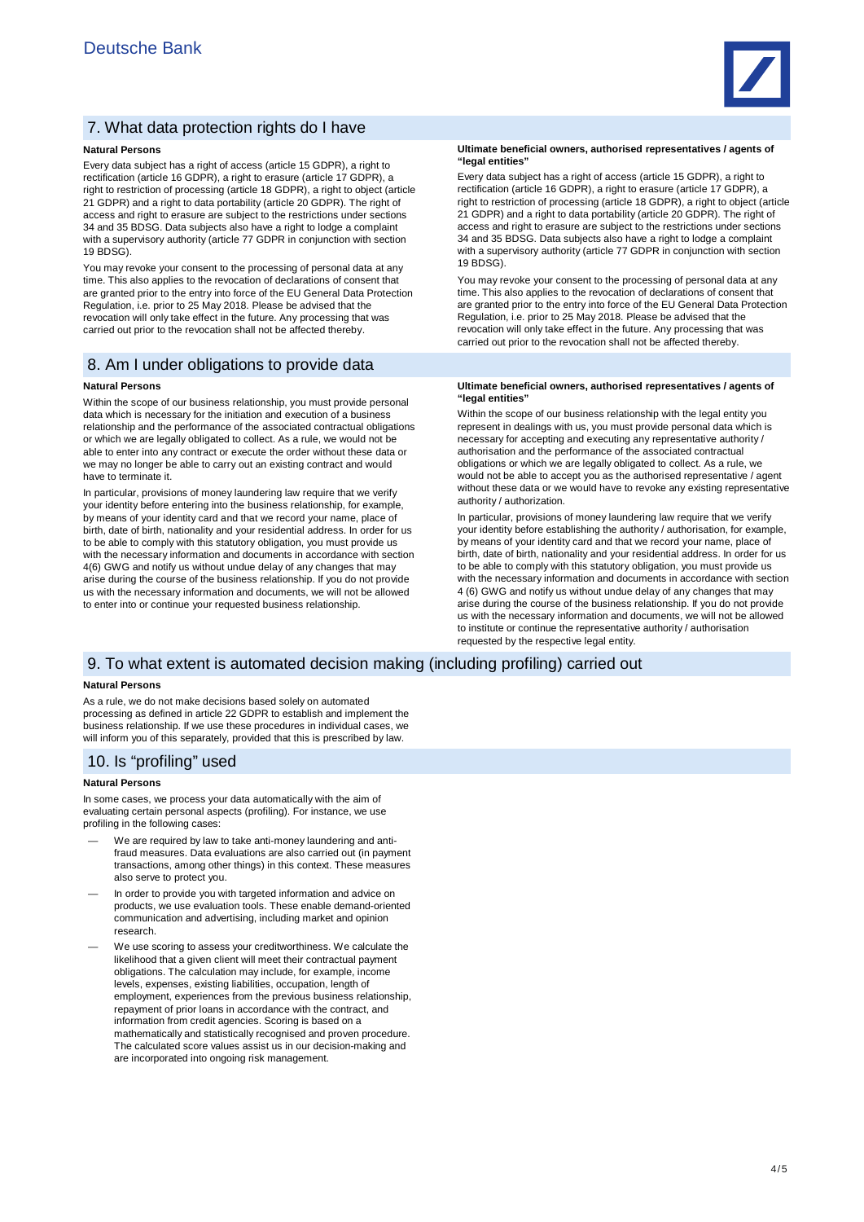

# 7. What data protection rights do I have

#### **Natural Persons**

Every data subject has a right of access (article 15 GDPR), a right to rectification (article 16 GDPR), a right to erasure (article 17 GDPR), a right to restriction of processing (article 18 GDPR), a right to object (article 21 GDPR) and a right to data portability (article 20 GDPR). The right of access and right to erasure are subject to the restrictions under sections 34 and 35 BDSG. Data subjects also have a right to lodge a complaint with a supervisory authority (article 77 GDPR in conjunction with section 19 BDSG).

You may revoke your consent to the processing of personal data at any time. This also applies to the revocation of declarations of consent that are granted prior to the entry into force of the EU General Data Protection Regulation, i.e. prior to 25 May 2018. Please be advised that the revocation will only take effect in the future. Any processing that was carried out prior to the revocation shall not be affected thereby.

### 8. Am I under obligations to provide data

#### **Natural Persons**

Within the scope of our business relationship, you must provide personal data which is necessary for the initiation and execution of a business relationship and the performance of the associated contractual obligations or which we are legally obligated to collect. As a rule, we would not be able to enter into any contract or execute the order without these data or we may no longer be able to carry out an existing contract and would have to terminate it.

In particular, provisions of money laundering law require that we verify your identity before entering into the business relationship, for example, by means of your identity card and that we record your name, place of birth, date of birth, nationality and your residential address. In order for us to be able to comply with this statutory obligation, you must provide us with the necessary information and documents in accordance with section 4(6) GWG and notify us without undue delay of any changes that may arise during the course of the business relationship. If you do not provide us with the necessary information and documents, we will not be allowed to enter into or continue your requested business relationship.

#### **Ultimate beneficial owners, authorised representatives / agents of "legal entities"**

Every data subject has a right of access (article 15 GDPR), a right to rectification (article 16 GDPR), a right to erasure (article 17 GDPR), a right to restriction of processing (article 18 GDPR), a right to object (article 21 GDPR) and a right to data portability (article 20 GDPR). The right of access and right to erasure are subject to the restrictions under sections 34 and 35 BDSG. Data subjects also have a right to lodge a complaint with a supervisory authority (article 77 GDPR in conjunction with section 19 BDSG).

You may revoke your consent to the processing of personal data at any time. This also applies to the revocation of declarations of consent that are granted prior to the entry into force of the EU General Data Protection Regulation, i.e. prior to 25 May 2018. Please be advised that the revocation will only take effect in the future. Any processing that was carried out prior to the revocation shall not be affected thereby.

#### **Ultimate beneficial owners, authorised representatives / agents of "legal entities"**

Within the scope of our business relationship with the legal entity you represent in dealings with us, you must provide personal data which is necessary for accepting and executing any representative authority / authorisation and the performance of the associated contractual obligations or which we are legally obligated to collect. As a rule, we would not be able to accept you as the authorised representative / agent without these data or we would have to revoke any existing representative authority / authorization.

In particular, provisions of money laundering law require that we verify your identity before establishing the authority / authorisation, for example, by means of your identity card and that we record your name, place of birth, date of birth, nationality and your residential address. In order for us to be able to comply with this statutory obligation, you must provide us with the necessary information and documents in accordance with section 4 (6) GWG and notify us without undue delay of any changes that may arise during the course of the business relationship. If you do not provide us with the necessary information and documents, we will not be allowed to institute or continue the representative authority / authorisation requested by the respective legal entity.

### 9. To what extent is automated decision making (including profiling) carried out

### **Natural Persons**

As a rule, we do not make decisions based solely on automated processing as defined in article 22 GDPR to establish and implement the business relationship. If we use these procedures in individual cases, we will inform you of this separately, provided that this is prescribed by law.

#### 10. Is "profiling" used

#### **Natural Persons**

In some cases, we process your data automatically with the aim of evaluating certain personal aspects (profiling). For instance, we use profiling in the following cases:

- We are required by law to take anti-money laundering and antifraud measures. Data evaluations are also carried out (in payment transactions, among other things) in this context. These measures also serve to protect you.
- In order to provide you with targeted information and advice on products, we use evaluation tools. These enable demand-oriented communication and advertising, including market and opinion research.
- We use scoring to assess your creditworthiness. We calculate the likelihood that a given client will meet their contractual payment obligations. The calculation may include, for example, income levels, expenses, existing liabilities, occupation, length of employment, experiences from the previous business relationship, repayment of prior loans in accordance with the contract, and information from credit agencies. Scoring is based on a mathematically and statistically recognised and proven procedure. The calculated score values assist us in our decision-making and are incorporated into ongoing risk management.